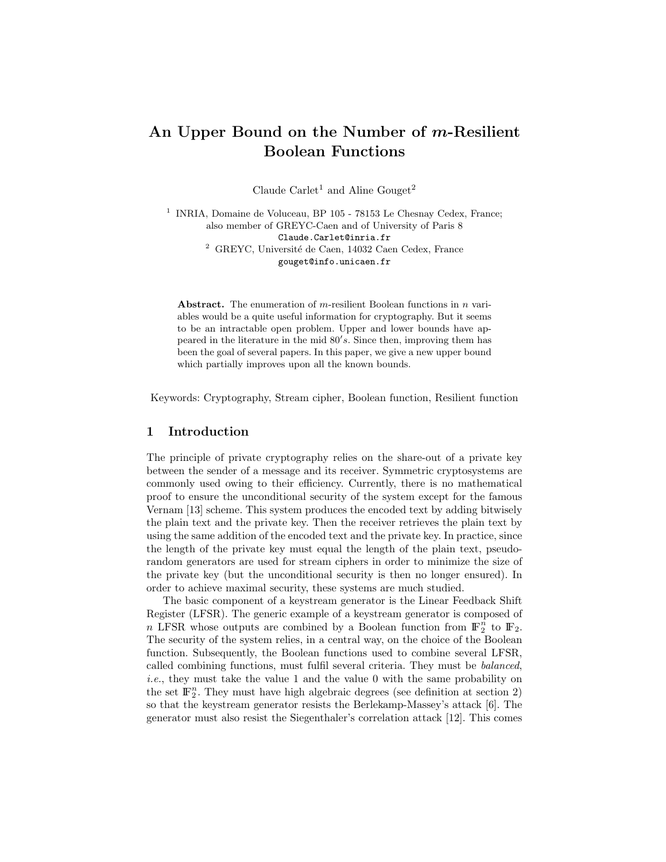# An Upper Bound on the Number of *m*-Resilient Boolean Functions

Claude Carlet<sup>1</sup> and Aline Gouget<sup>2</sup>

1 INRIA, Domaine de Voluceau, BP 105 - 78153 Le Chesnay Cedex, France; also member of GREYC-Caen and of University of Paris 8 Claude.Carlet@inria.fr <sup>2</sup> GREYC, Université de Caen, 14032 Caen Cedex, France gouget@info.unicaen.fr

Abstract. The enumeration of  $m$ -resilient Boolean functions in  $n$  variables would be a quite useful information for cryptography. But it seems to be an intractable open problem. Upper and lower bounds have appeared in the literature in the mid  $80's$ . Since then, improving them has been the goal of several papers. In this paper, we give a new upper bound which partially improves upon all the known bounds.

Keywords: Cryptography, Stream cipher, Boolean function, Resilient function

### 1 Introduction

The principle of private cryptography relies on the share-out of a private key between the sender of a message and its receiver. Symmetric cryptosystems are commonly used owing to their efficiency. Currently, there is no mathematical proof to ensure the unconditional security of the system except for the famous Vernam [13] scheme. This system produces the encoded text by adding bitwisely the plain text and the private key. Then the receiver retrieves the plain text by using the same addition of the encoded text and the private key. In practice, since the length of the private key must equal the length of the plain text, pseudorandom generators are used for stream ciphers in order to minimize the size of the private key (but the unconditional security is then no longer ensured). In order to achieve maximal security, these systems are much studied.

The basic component of a keystream generator is the Linear Feedback Shift Register (LFSR). The generic example of a keystream generator is composed of n LFSR whose outputs are combined by a Boolean function from  $\mathbb{F}_2^n$  to  $\mathbb{F}_2$ . The security of the system relies, in a central way, on the choice of the Boolean function. Subsequently, the Boolean functions used to combine several LFSR, called combining functions, must fulfil several criteria. They must be balanced, i.e., they must take the value 1 and the value 0 with the same probability on the set  $\mathbb{F}_2^n$ . They must have high algebraic degrees (see definition at section 2) so that the keystream generator resists the Berlekamp-Massey's attack [6]. The generator must also resist the Siegenthaler's correlation attack [12]. This comes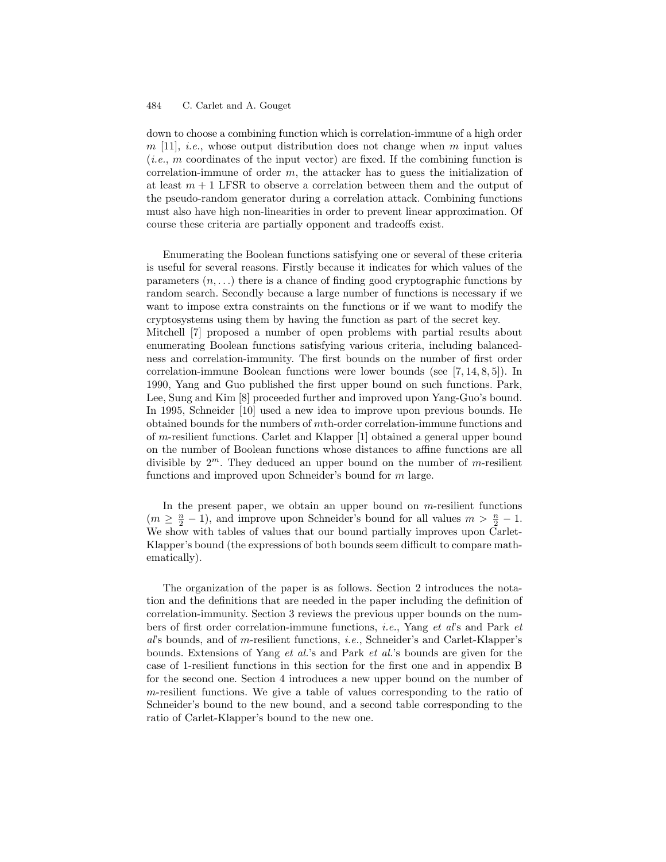down to choose a combining function which is correlation-immune of a high order  $m$  [11], *i.e.*, whose output distribution does not change when m input values  $(i.e., m$  coordinates of the input vector) are fixed. If the combining function is correlation-immune of order  $m$ , the attacker has to guess the initialization of at least  $m + 1$  LFSR to observe a correlation between them and the output of the pseudo-random generator during a correlation attack. Combining functions must also have high non-linearities in order to prevent linear approximation. Of course these criteria are partially opponent and tradeoffs exist.

Enumerating the Boolean functions satisfying one or several of these criteria is useful for several reasons. Firstly because it indicates for which values of the parameters  $(n, \ldots)$  there is a chance of finding good cryptographic functions by random search. Secondly because a large number of functions is necessary if we want to impose extra constraints on the functions or if we want to modify the cryptosystems using them by having the function as part of the secret key. Mitchell [7] proposed a number of open problems with partial results about enumerating Boolean functions satisfying various criteria, including balancedness and correlation-immunity. The first bounds on the number of first order correlation-immune Boolean functions were lower bounds (see [7, 14, 8, 5]). In 1990, Yang and Guo published the first upper bound on such functions. Park, Lee, Sung and Kim [8] proceeded further and improved upon Yang-Guo's bound. In 1995, Schneider [10] used a new idea to improve upon previous bounds. He obtained bounds for the numbers of mth-order correlation-immune functions and of m-resilient functions. Carlet and Klapper [1] obtained a general upper bound on the number of Boolean functions whose distances to affine functions are all divisible by  $2^m$ . They deduced an upper bound on the number of *m*-resilient functions and improved upon Schneider's bound for m large.

In the present paper, we obtain an upper bound on  $m$ -resilient functions  $(m \geq \frac{n}{2} - 1)$ , and improve upon Schneider's bound for all values  $m > \frac{n}{2} - 1$ . We show with tables of values that our bound partially improves upon Carlet-Klapper's bound (the expressions of both bounds seem difficult to compare mathematically).

The organization of the paper is as follows. Section 2 introduces the notation and the definitions that are needed in the paper including the definition of correlation-immunity. Section 3 reviews the previous upper bounds on the numbers of first order correlation-immune functions, i.e., Yang et al's and Park et al's bounds, and of m-resilient functions, i.e., Schneider's and Carlet-Klapper's bounds. Extensions of Yang et al.'s and Park et al.'s bounds are given for the case of 1-resilient functions in this section for the first one and in appendix B for the second one. Section 4 introduces a new upper bound on the number of m-resilient functions. We give a table of values corresponding to the ratio of Schneider's bound to the new bound, and a second table corresponding to the ratio of Carlet-Klapper's bound to the new one.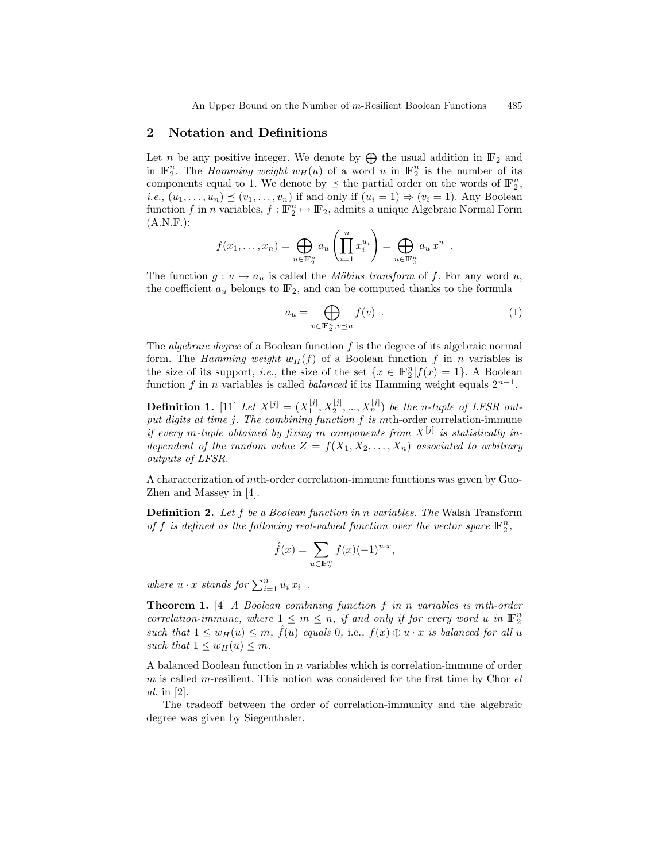### 2 Notation and Definitions

Let *n* be any positive integer. We denote by  $\bigoplus$  the usual addition in  $\mathbb{F}_2$  and in  $\mathbb{F}_2^n$ . The *Hamming weight*  $w_H(u)$  of a word u in  $\mathbb{F}_2^n$  is the number of its components equal to 1. We denote by  $\preceq$  the partial order on the words of  $\mathbb{F}_2^n$ , *i.e.*,  $(u_1, \ldots, u_n) \preceq (v_1, \ldots, v_n)$  if and only if  $(u_i = 1) \Rightarrow (v_i = 1)$ . Any Boolean function f in n variables,  $f: \mathbb{F}_2^n \mapsto \mathbb{F}_2$ , admits a unique Algebraic Normal Form  $(A.N.F.):$ 

$$
f(x_1,\ldots,x_n)=\bigoplus_{u\in\mathbb{F}_2^n}a_u\left(\prod_{i=1}^nx_i^{u_i}\right)=\bigoplus_{u\in\mathbb{F}_2^n}a_u x^u.
$$

The function  $g: u \mapsto a_u$  is called the Möbius transform of f. For any word u, the coefficient  $a_u$  belongs to  $\mathbb{F}_2$ , and can be computed thanks to the formula

$$
a_u = \bigoplus_{v \in \mathbb{F}_2^n, v \preceq u} f(v) . \tag{1}
$$

The *algebraic degree* of a Boolean function  $f$  is the degree of its algebraic normal form. The Hamming weight  $w_H(f)$  of a Boolean function f in n variables is the size of its support, *i.e.*, the size of the set  $\{x \in \mathbb{F}_2^n | f(x) = 1\}$ . A Boolean function f in n variables is called *balanced* if its Hamming weight equals  $2^{n-1}$ .

**Definition 1.** [11] Let  $X^{[j]} = (X_1^{[j]}, X_2^{[j]}, ..., X_n^{[j]})$  be the n-tuple of LFSR output digits at time  $j$ . The combining function  $f$  is mth-order correlation-immune if every m-tuple obtained by fixing m components from  $X^{[j]}$  is statistically independent of the random value  $Z = f(X_1, X_2, \ldots, X_n)$  associated to arbitrary outputs of LFSR.

A characterization of mth-order correlation-immune functions was given by Guo-Zhen and Massey in [4].

**Definition 2.** Let f be a Boolean function in n variables. The Walsh Transform of f is defined as the following real-valued function over the vector space  $\mathbb{F}_2^n$ ,

$$
\hat{f}(x) = \sum_{u \in \mathbb{F}_2^n} f(x)(-1)^{u \cdot x},
$$

where  $u \cdot x$  stands for  $\sum_{i=1}^{n} u_i x_i$ .

Theorem 1. [4] A Boolean combining function f in n variables is mth-order correlation-immune, where  $1 \leq m \leq n$ , if and only if for every word u in  $\mathbb{F}_2^n$ such that  $1 \leq w_H(u) \leq m$ ,  $\hat{f}(u)$  equals 0, i.e.,  $f(x) \oplus u \cdot x$  is balanced for all u such that  $1 \leq w_H(u) \leq m$ .

A balanced Boolean function in n variables which is correlation-immune of order  $m$  is called m-resilient. This notion was considered for the first time by Chor  $et$ al. in [2].

The tradeoff between the order of correlation-immunity and the algebraic degree was given by Siegenthaler.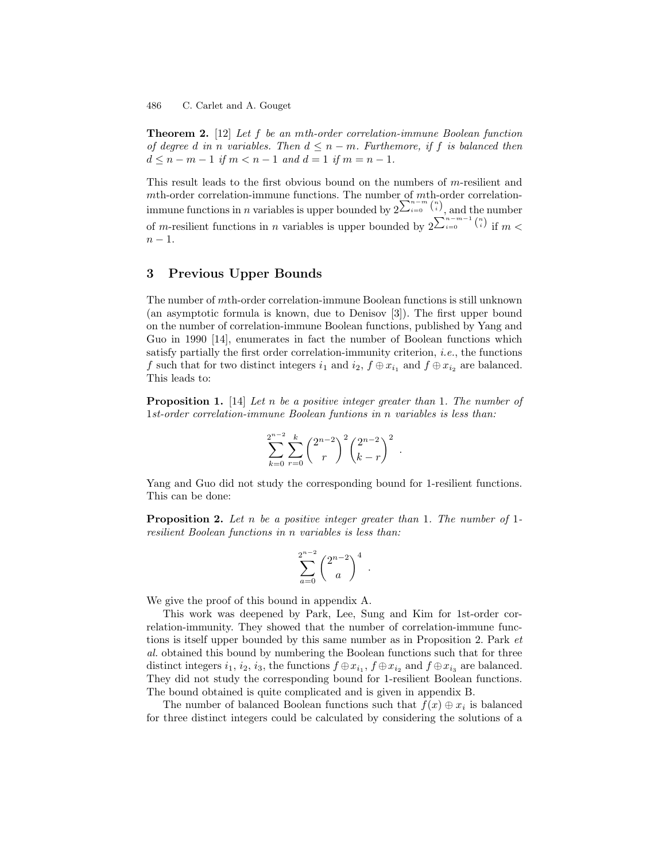Theorem 2. [12] Let f be an mth-order correlation-immune Boolean function of degree d in n variables. Then  $d \leq n-m$ . Furthemore, if f is balanced then  $d \leq n - m - 1$  if  $m < n - 1$  and  $d = 1$  if  $m = n - 1$ .

This result leads to the first obvious bound on the numbers of  $m$ -resilient and mth-order correlation-immune functions. The number of mth-order correlationimmune functions in *n* variables is upper bounded by  $2^{\sum_{i=0}^{n-m} {n \choose i}}$ , and the number of m-resilient functions in n variables is upper bounded by  $2^{\sum_{i=0}^{n-m-1} {n \choose i}}$  if  $m <$  $n-1$ .

### 3 Previous Upper Bounds

The number of mth-order correlation-immune Boolean functions is still unknown (an asymptotic formula is known, due to Denisov [3]). The first upper bound on the number of correlation-immune Boolean functions, published by Yang and Guo in 1990 [14], enumerates in fact the number of Boolean functions which satisfy partially the first order correlation-immunity criterion, i.e., the functions f such that for two distinct integers  $i_1$  and  $i_2$ ,  $f \oplus x_{i_1}$  and  $f \oplus x_{i_2}$  are balanced. This leads to:

**Proposition 1.** [14] Let n be a positive integer greater than 1. The number of 1st-order correlation-immune Boolean funtions in n variables is less than:

$$
\sum_{k=0}^{2^{n-2}} \sum_{r=0}^{k} \binom{2^{n-2}}{r}^2 \binom{2^{n-2}}{k-r}^2.
$$

Yang and Guo did not study the corresponding bound for 1-resilient functions. This can be done:

**Proposition 2.** Let n be a positive integer greater than 1. The number of 1resilient Boolean functions in n variables is less than:

$$
\sum_{a=0}^{2^{n-2}} \binom{2^{n-2}}{a}^4.
$$

We give the proof of this bound in appendix A.

This work was deepened by Park, Lee, Sung and Kim for 1st-order correlation-immunity. They showed that the number of correlation-immune functions is itself upper bounded by this same number as in Proposition 2. Park et al. obtained this bound by numbering the Boolean functions such that for three distinct integers  $i_1$ ,  $i_2$ ,  $i_3$ , the functions  $f \oplus x_{i_1}$ ,  $f \oplus x_{i_2}$  and  $f \oplus x_{i_3}$  are balanced. They did not study the corresponding bound for 1-resilient Boolean functions. The bound obtained is quite complicated and is given in appendix B.

The number of balanced Boolean functions such that  $f(x) \oplus x_i$  is balanced for three distinct integers could be calculated by considering the solutions of a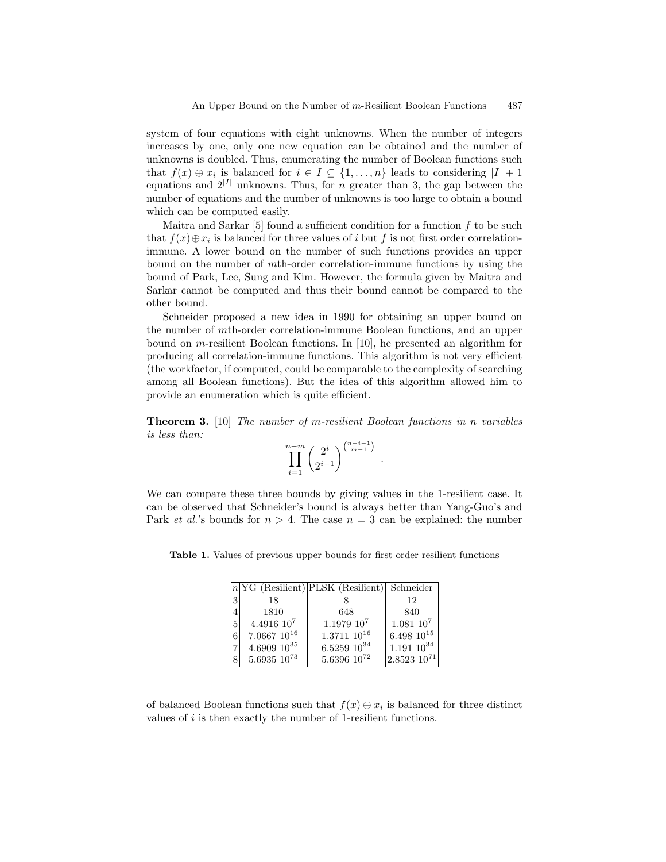system of four equations with eight unknowns. When the number of integers increases by one, only one new equation can be obtained and the number of unknowns is doubled. Thus, enumerating the number of Boolean functions such that  $f(x) \oplus x_i$  is balanced for  $i \in I \subseteq \{1, ..., n\}$  leads to considering  $|I| + 1$ equations and  $2^{|I|}$  unknowns. Thus, for *n* greater than 3, the gap between the number of equations and the number of unknowns is too large to obtain a bound which can be computed easily.

Maitra and Sarkar  $[5]$  found a sufficient condition for a function f to be such that  $f(x) \oplus x_i$  is balanced for three values of i but f is not first order correlationimmune. A lower bound on the number of such functions provides an upper bound on the number of mth-order correlation-immune functions by using the bound of Park, Lee, Sung and Kim. However, the formula given by Maitra and Sarkar cannot be computed and thus their bound cannot be compared to the other bound.

Schneider proposed a new idea in 1990 for obtaining an upper bound on the number of mth-order correlation-immune Boolean functions, and an upper bound on m-resilient Boolean functions. In [10], he presented an algorithm for producing all correlation-immune functions. This algorithm is not very efficient (the workfactor, if computed, could be comparable to the complexity of searching among all Boolean functions). But the idea of this algorithm allowed him to provide an enumeration which is quite efficient.

Theorem 3. [10] The number of m-resilient Boolean functions in n variables is less than:

$$
\prod_{i=1}^{n-m} \binom{2^i}{2^{i-1}}^{n-i-1}.
$$

We can compare these three bounds by giving values in the 1-resilient case. It can be observed that Schneider's bound is always better than Yang-Guo's and Park *et al.*'s bounds for  $n > 4$ . The case  $n = 3$  can be explained: the number

Table 1. Values of previous upper bounds for first order resilient functions

|               |                   | $n {\rm YG}$ (Resilient) PLSK (Resilient) Schneider |                    |
|---------------|-------------------|-----------------------------------------------------|--------------------|
| $\mathcal{R}$ | 18                |                                                     | 12                 |
|               | 1810              | 648                                                 | 840                |
| 5             | $4.4916\;10^7$    | $1.1979\;10^7$                                      | $1.081\;10^7$      |
| 6             | $7.0667~10^{16}$  | $1.3711~10^{16}$                                    | $6.498~10^{15}$    |
|               | $4.6909\;10^{35}$ | $6.5259\;10^{34}$                                   | $1.191~10^{34}$    |
|               | $5.6935\ 10^{73}$ | $5.6396\;10^{72}$                                   | $2.8523$ $10^{71}$ |

of balanced Boolean functions such that  $f(x) \oplus x_i$  is balanced for three distinct values of  $i$  is then exactly the number of 1-resilient functions.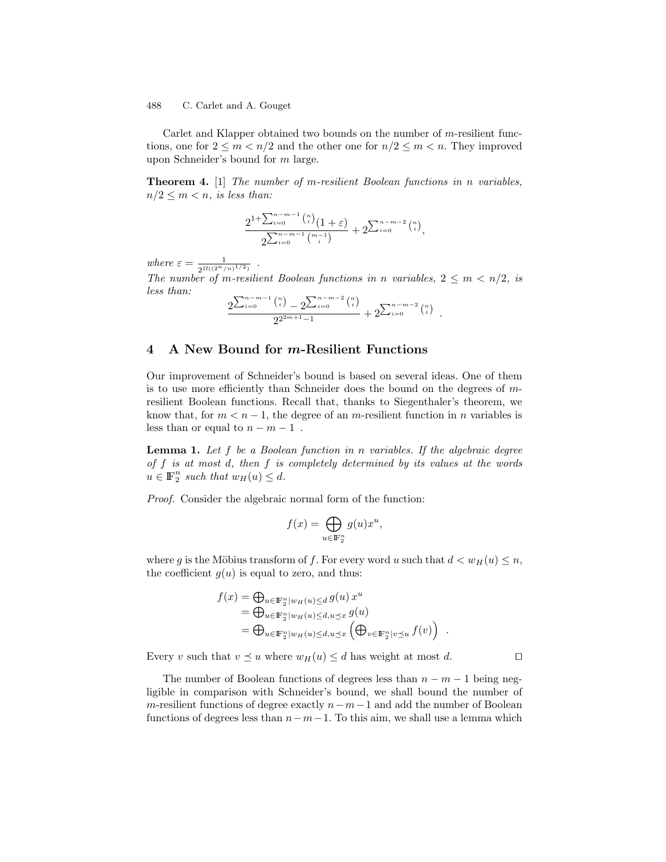Carlet and Klapper obtained two bounds on the number of m-resilient functions, one for  $2 \le m < n/2$  and the other one for  $n/2 \le m < n$ . They improved upon Schneider's bound for m large.

Theorem 4. [1] The number of m-resilient Boolean functions in n variables,  $n/2 \leq m < n$ , is less than:

$$
\frac{2^{1+\sum_{i=0}^{n-m-1} \binom{n}{i}} (1+\varepsilon)}{2^{\sum_{i=0}^{n-m-1} \binom{m-1}{i}}} + 2^{\sum_{i=0}^{n-m-2} \binom{n}{i}},
$$

where  $\varepsilon = \frac{1}{2^{\Omega((2^n/n)^{1/2})}}$ .

The number of m-resilient Boolean functions in n variables,  $2 \le m < n/2$ , is less than:

$$
\frac{2^{\sum_{i=0}^{n-m-1} {n \choose i}} - 2^{\sum_{i=0}^{n-m-2} {n \choose i}}}{2^{2^{2m+1}-1}} + 2^{\sum_{i=0}^{n-m-2} {n \choose i}}.
$$

### 4 A New Bound for m-Resilient Functions

Our improvement of Schneider's bound is based on several ideas. One of them is to use more efficiently than Schneider does the bound on the degrees of mresilient Boolean functions. Recall that, thanks to Siegenthaler's theorem, we know that, for  $m < n - 1$ , the degree of an *m*-resilient function in *n* variables is less than or equal to  $n - m - 1$ .

**Lemma 1.** Let f be a Boolean function in n variables. If the algebraic degree of  $f$  is at most  $d$ , then  $f$  is completely determined by its values at the words  $u \in \mathbb{F}_2^n$  such that  $w_H(u) \leq d$ .

Proof. Consider the algebraic normal form of the function:

$$
f(x) = \bigoplus_{u \in \mathbb{F}_2^n} g(u)x^u,
$$

where g is the Möbius transform of f. For every word u such that  $d < w_H(u) \leq n$ , the coefficient  $g(u)$  is equal to zero, and thus:

$$
f(x) = \bigoplus_{u \in \mathbb{F}_2^n | w_H(u) \le d} g(u) x^u
$$
  
= 
$$
\bigoplus_{u \in \mathbb{F}_2^n | w_H(u) \le d, u \le x} g(u)
$$
  
= 
$$
\bigoplus_{u \in \mathbb{F}_2^n | w_H(u) \le d, u \le x} \left( \bigoplus_{v \in \mathbb{F}_2^n | v \le u} f(v) \right) .
$$

Every v such that  $v \preceq u$  where  $w_H(u) \leq d$  has weight at most d.  $\square$ 

The number of Boolean functions of degrees less than  $n - m - 1$  being negligible in comparison with Schneider's bound, we shall bound the number of m-resilient functions of degree exactly  $n-m-1$  and add the number of Boolean functions of degrees less than  $n-m-1$ . To this aim, we shall use a lemma which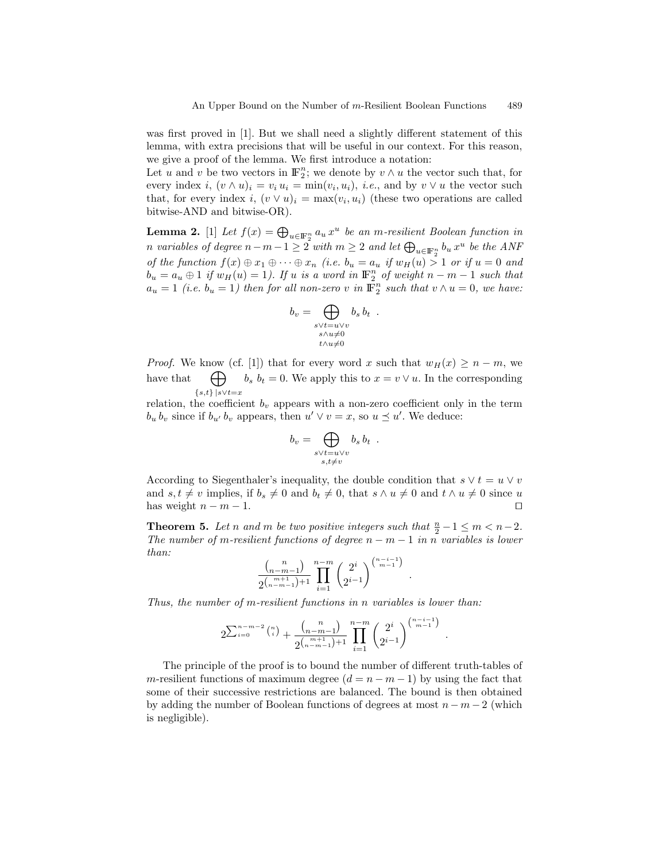was first proved in [1]. But we shall need a slightly different statement of this lemma, with extra precisions that will be useful in our context. For this reason, we give a proof of the lemma. We first introduce a notation:

Let u and v be two vectors in  $\mathbb{F}_2^n$ ; we denote by  $v \wedge u$  the vector such that, for every index  $i, (v \wedge u)_i = v_i u_i = \min(v_i, u_i), i.e.,$  and by  $v \vee u$  the vector such that, for every index  $i, (v \vee u)_i = \max(v_i, u_i)$  (these two operations are called bitwise-AND and bitwise-OR).

**Lemma 2.** [1] Let  $f(x) = \bigoplus_{u \in \mathbb{F}_2^n} a_u x^u$  be an m-resilient Boolean function in n variables of degree  $n-m-1 \geq 2$  with  $m \geq 2$  and let  $\bigoplus_{u \in \mathbb{F}_2^n} b_u x^u$  be the ANF of the function  $f(x) \oplus x_1 \oplus \cdots \oplus x_n$  (i.e.  $b_u = a_u$  if  $w_H(u) > 1$  or if  $u = 0$  and  $b_u = a_u \oplus 1$  if  $w_H(u) = 1$ ). If u is a word in  $\mathbb{F}_2^n$  of weight  $n - m - 1$  such that  $a_u = 1$  (i.e.  $b_u = 1$ ) then for all non-zero v in  $\mathbb{F}_2^n$  such that  $v \wedge u = 0$ , we have:

$$
b_v = \bigoplus_{\substack{s \lor t = u \lor v \\ s \land u \neq 0}} b_s b_t .
$$
  

$$
\downarrow_{\land u \neq 0}
$$

*Proof.* We know (cf. [1]) that for every word x such that  $w_H(x) \geq n-m$ , we have that  ${s,t}$ } |s∨t=x  $\bigoplus$   $b_s$   $b_t = 0$ . We apply this to  $x = v \vee u$ . In the corresponding

relation, the coefficient  $b_v$  appears with a non-zero coefficient only in the term  $b_u b_v$  since if  $b_{u'} b_v$  appears, then  $u' \vee v = x$ , so  $u \preceq u'$ . We deduce:

$$
b_v = \bigoplus_{\substack{s \vee t = u \vee v \\ s, t \neq v}} b_s b_t .
$$

According to Siegenthaler's inequality, the double condition that  $s \vee t = u \vee v$ and  $s, t \neq v$  implies, if  $b_s \neq 0$  and  $b_t \neq 0$ , that  $s \wedge u \neq 0$  and  $t \wedge u \neq 0$  since u has weight  $n - m - 1$ .

**Theorem 5.** Let n and m be two positive integers such that  $\frac{n}{2} - 1 \le m < n - 2$ . The number of m-resilient functions of degree  $n - m - 1$  in n variables is lower than:

$$
\frac{\binom{n}{n-m-1}}{2\binom{m+1}{n-m-1}+1}\prod_{i=1}^{n-m}\binom{2^i}{2^{i-1}}^{\binom{n-i-1}{m-1}}
$$

.

.

Thus, the number of m-resilient functions in n variables is lower than:

$$
2^{\sum_{i=0}^{n-m-2} {n \choose i}} + \frac{{n \choose n-m-1}}{2^{{n-m \choose n-m-1}+1}} \prod_{i=1}^{n-m} {2^i \choose 2^{i-1}}^{n-i-1 \choose m-1}
$$

The principle of the proof is to bound the number of different truth-tables of m-resilient functions of maximum degree  $(d = n - m - 1)$  by using the fact that some of their successive restrictions are balanced. The bound is then obtained by adding the number of Boolean functions of degrees at most  $n - m - 2$  (which is negligible).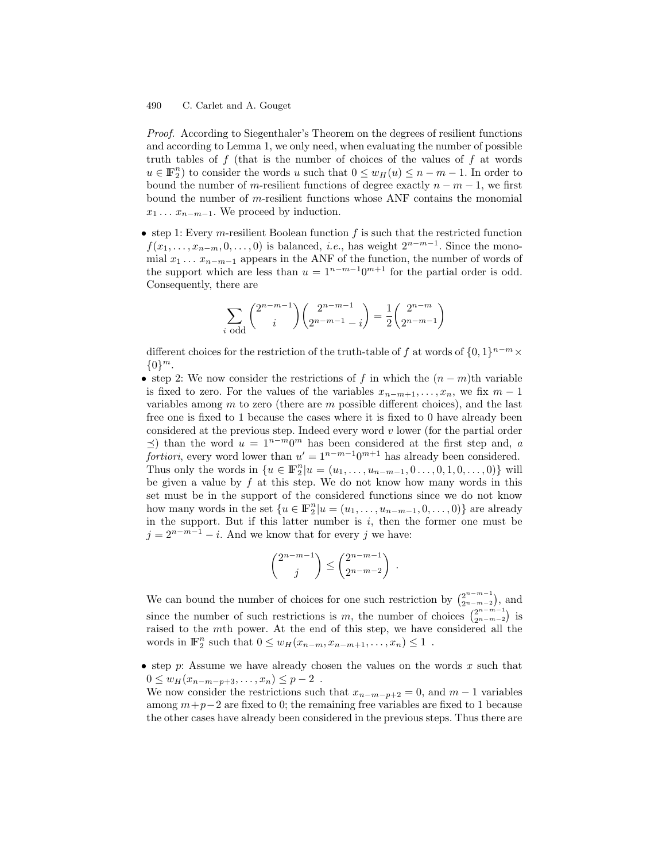Proof. According to Siegenthaler's Theorem on the degrees of resilient functions and according to Lemma 1, we only need, when evaluating the number of possible truth tables of  $f$  (that is the number of choices of the values of  $f$  at words  $u \in \mathbb{F}_2^n$ ) to consider the words u such that  $0 \le w_H(u) \le n - m - 1$ . In order to bound the number of m-resilient functions of degree exactly  $n - m - 1$ , we first bound the number of  $m$ -resilient functions whose ANF contains the monomial  $x_1 \ldots x_{n-m-1}$ . We proceed by induction.

• step 1: Every *m*-resilient Boolean function  $f$  is such that the restricted function  $f(x_1, \ldots, x_{n-m}, 0, \ldots, 0)$  is balanced, *i.e.*, has weight  $2^{n-m-1}$ . Since the monomial  $x_1 \ldots x_{n-m-1}$  appears in the ANF of the function, the number of words of the support which are less than  $u = 1^{n-m-1}0^{m+1}$  for the partial order is odd. Consequently, there are

$$
\sum_{i \text{ odd}} {2^{n-m-1} \choose i} {2^{n-m-1} \choose 2^{n-m-1} - i} = \frac{1}{2} {2^{n-m} \choose 2^{n-m-1}}
$$

different choices for the restriction of the truth-table of f at words of  $\{0,1\}^{n-m}$  ×  ${0}^m$ .

• step 2: We now consider the restrictions of f in which the  $(n - m)$ th variable is fixed to zero. For the values of the variables  $x_{n-m+1}, \ldots, x_n$ , we fix  $m-1$ variables among  $m$  to zero (there are  $m$  possible different choices), and the last free one is fixed to 1 because the cases where it is fixed to 0 have already been considered at the previous step. Indeed every word  $v$  lower (for the partial order  $\preceq$ ) than the word  $u = 1^{n-m}0^m$  has been considered at the first step and, a fortiori, every word lower than  $u' = 1^{n-m-1}0^{m+1}$  has already been considered. Thus only the words in  $\{u \in \mathbb{F}_2^n | u = (u_1, \ldots, u_{n-m-1}, 0 \ldots, 0, 1, 0, \ldots, 0)\}\$  will be given a value by  $f$  at this step. We do not know how many words in this set must be in the support of the considered functions since we do not know how many words in the set  $\{u \in \mathbb{F}_2^n | u = (u_1, \ldots, u_{n-m-1}, 0, \ldots, 0)\}$  are already in the support. But if this latter number is  $i$ , then the former one must be  $j = 2^{n-m-1} - i$ . And we know that for every j we have:

$$
\binom{2^{n-m-1}}{j} \le \binom{2^{n-m-1}}{2^{n-m-2}}.
$$

We can bound the number of choices for one such restriction by  $\binom{2^{n-m-1}}{2^{n-m-2}}$  $\binom{2^{n-m-1}}{2^{n-m-2}}$ , and since the number of such restrictions is m, the number of choices  $\frac{2^{n-m-1}}{2^{n-m-2}}$  $\binom{2^{n-m-1}}{2^{n-m-2}}$  is raised to the mth power. At the end of this step, we have considered all the words in  $\mathbb{F}_2^n$  such that  $0 \leq w_H(x_{n-m}, x_{n-m+1}, \ldots, x_n) \leq 1$ .

• step p: Assume we have already chosen the values on the words  $x$  such that  $0 \leq w_H(x_{n-m-p+3},...,x_n) \leq p-2$ .

We now consider the restrictions such that  $x_{n-m-p+2} = 0$ , and  $m-1$  variables among  $m+p-2$  are fixed to 0; the remaining free variables are fixed to 1 because the other cases have already been considered in the previous steps. Thus there are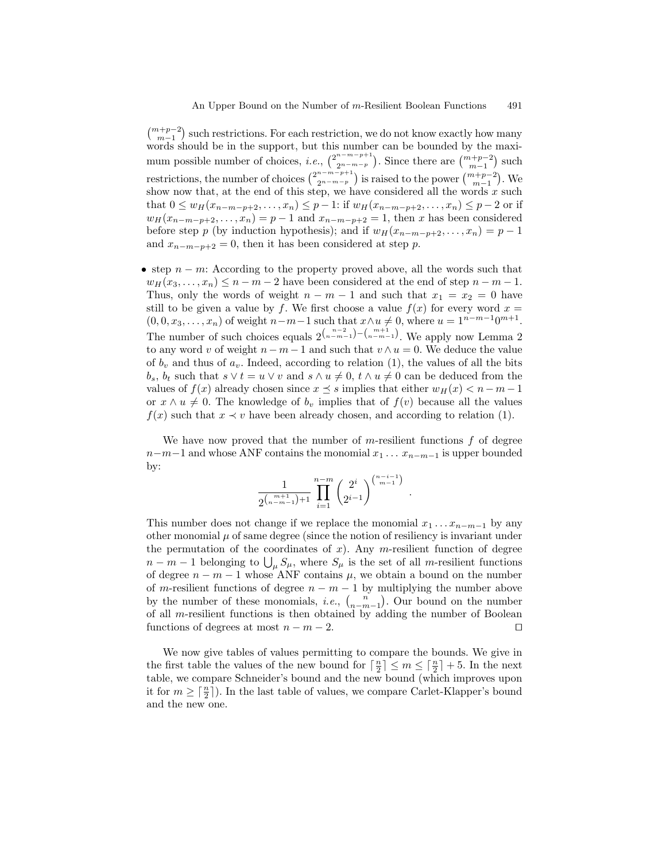$\binom{m+p-2}{m-1}$  such restrictions. For each restriction, we do not know exactly how many words should be in the support, but this number can be bounded by the maximum possible number of choices, *i.e.*,  $\binom{2^{n-m-p+1}}{2^{n-m-p}}$  $\binom{n-m-p+1}{2n-m-p}$ . Since there are  $\binom{m+p-2}{m-1}$  such restrictions, the number of choices  $\binom{2^{n-m-p+1}}{2^{n-m-p}}$  $\binom{n-m-p+1}{2n-m-p}$  is raised to the power  $\binom{m+p-2}{m-1}$ . We show now that, at the end of this step, we have considered all the words  $x$  such that  $0 \leq w_H(x_{n-m-p+2},...,x_n) \leq p-1$ : if  $w_H(x_{n-m-p+2},...,x_n) \leq p-2$  or if  $w_H(x_{n-m-p+2},...,x_n) = p-1$  and  $x_{n-m-p+2} = 1$ , then x has been considered before step p (by induction hypothesis); and if  $w_H(x_{n-m-p+2}, \ldots, x_n) = p-1$ and  $x_{n-m-p+2} = 0$ , then it has been considered at step p.

• step  $n - m$ : According to the property proved above, all the words such that  $w_H(x_3, \ldots, x_n) \leq n - m - 2$  have been considered at the end of step  $n - m - 1$ . Thus, only the words of weight  $n - m - 1$  and such that  $x_1 = x_2 = 0$  have still to be given a value by f. We first choose a value  $f(x)$  for every word  $x =$  $(0, 0, x_3, \ldots, x_n)$  of weight  $n-m-1$  such that  $x \wedge u \neq 0$ , where  $u = 1^{n-m-1}0^{m+1}$ . The number of such choices equals  $2^{n-2 \choose n-m-1} - {m+1 \choose n-m-1}$ . We apply now Lemma 2 to any word v of weight  $n-m-1$  and such that  $v \wedge u = 0$ . We deduce the value of  $b_v$  and thus of  $a_v$ . Indeed, according to relation (1), the values of all the bits  $b_s$ ,  $b_t$  such that  $s \vee t = u \vee v$  and  $s \wedge u \neq 0$ ,  $t \wedge u \neq 0$  can be deduced from the values of  $f(x)$  already chosen since  $x \leq s$  implies that either  $w_H(x) < n-m-1$ or  $x \wedge u \neq 0$ . The knowledge of  $b_v$  implies that of  $f(v)$  because all the values  $f(x)$  such that  $x \prec v$  have been already chosen, and according to relation (1).

We have now proved that the number of m-resilient functions  $f$  of degree  $n-m-1$  and whose ANF contains the monomial  $x_1 \ldots x_{n-m-1}$  is upper bounded by:

$$
\frac{1}{2^{{m+1 \choose n-m-1}+1}}\prod_{i=1}^{n-m}\binom{2^{i}}{2^{i-1}}^{n-i-1 \choose m-1}
$$

.

This number does not change if we replace the monomial  $x_1 \ldots x_{n-m-1}$  by any other monomial  $\mu$  of same degree (since the notion of resiliency is invariant under the permutation of the coordinates of  $x$ ). Any m-resilient function of degree  $n-m-1$  belonging to  $\bigcup_{\mu} S_{\mu}$ , where  $S_{\mu}$  is the set of all m-resilient functions of degree  $n - m - 1$  whose ANF contains  $\mu$ , we obtain a bound on the number of m-resilient functions of degree  $n - m - 1$  by multiplying the number above by the number of these monomials, *i.e.*,  $\binom{n}{n-m-1}$ . Our bound on the number of all m-resilient functions is then obtained by adding the number of Boolean functions of degrees at most  $n - m - 2$ .

We now give tables of values permitting to compare the bounds. We give in the first table the values of the new bound for  $\lceil \frac{n}{2} \rceil \leq m \leq \lceil \frac{n}{2} \rceil + 5$ . In the next table, we compare Schneider's bound and the new bound (which improves upon it for  $m \geq \lceil \frac{n}{2} \rceil$ ). In the last table of values, we compare Carlet-Klapper's bound and the new one.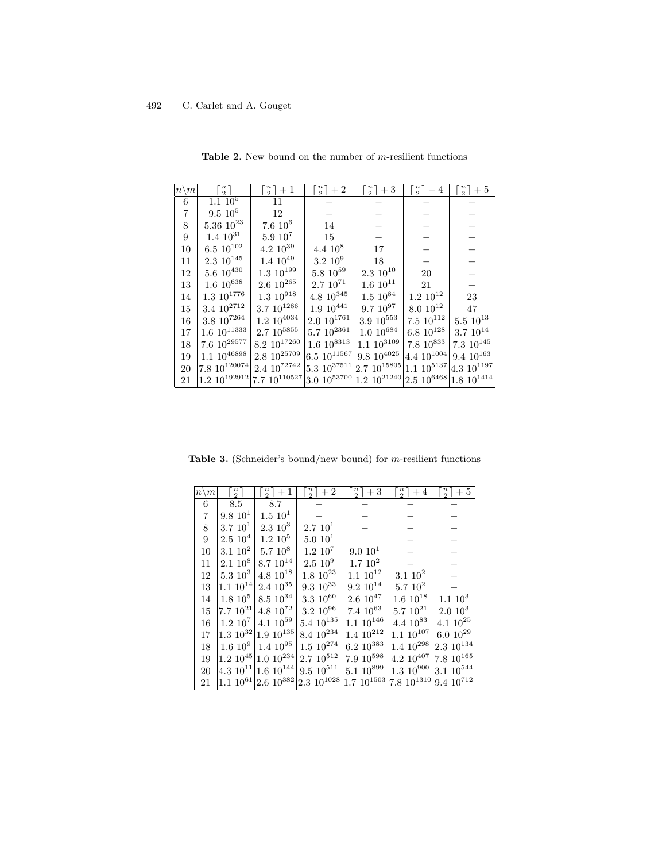| $n \backslash m$ | $\frac{n}{2}$                                                                                         | $\frac{n}{2}$ + 1     | $\frac{n}{2}$ + 2    | $\frac{n}{2}$ + 3                                                    | $\left\lfloor \frac{n}{2} \right\rfloor + 4$ | $\frac{n}{2}$ + 5   |
|------------------|-------------------------------------------------------------------------------------------------------|-----------------------|----------------------|----------------------------------------------------------------------|----------------------------------------------|---------------------|
| 6                | $1.1 \overline{10^5}$                                                                                 | 11                    |                      |                                                                      |                                              |                     |
| 7                | $9.5\;10^5$                                                                                           | 12                    |                      |                                                                      |                                              |                     |
| 8                | $5.36\ 10^{23}$                                                                                       | $7.6 10^6$            | 14                   |                                                                      |                                              |                     |
| 9                | $1.4~10^{31}$                                                                                         | $5.9\;10^7$           | 15                   |                                                                      |                                              |                     |
| 10               | $6.5\,\,10^{102}$                                                                                     | $4.2 \; 10^{39}$      | $4.4~10^8$           | 17                                                                   |                                              |                     |
| 11               | $2.3 \,\, 10^{145}$                                                                                   | $1.4~10^{49}$         | $3.2~10^9$           | 18                                                                   |                                              |                     |
| 12               | $5.6\ 10^{430}$                                                                                       | $1.3 \,\, 10^{199}$   | $5.8\ 10^{59}$       | $2.3\ 10^{10}$                                                       | 20                                           |                     |
| 13               | $1.6~10^{638}$                                                                                        | $2.6~10^{265}$        | $2.7~10^{71}$        | $1.6 10^{11}$                                                        | 21                                           |                     |
| 14               | $1.3 \,\, 10^{1776}$                                                                                  | $1.3 \,\, 10^{918}$   | $4.8 \; 10^{345}$    | $1.5~10^{84}$                                                        | $1.2 \; 10^{12}$                             | 23                  |
| 15               | $3.4 \,\, 10^{2712}$                                                                                  | $3.7~10^{1286}$       | $1.9~10^{441}$       | $9.7~10^{97}$                                                        | $8.0 \; 10^{12}$                             | 47                  |
| 16               | $3.8\ 10^{7264}$                                                                                      | $1.2 \,\, 10^{4034}$  | $2.0\ 10^{1761}$     | $3.9~10^{553}$                                                       | $7.5 \,\, 10^{112}$                          | $5.5 \,\, 10^{13}$  |
| 17               | $1.6 \,\, 10^{11333}$                                                                                 | $2.7~10^{5855}$       | $5.7~10^{2361}$      | $1.0~10^{684}$                                                       | $6.8~10^{128}$                               | $3.7~10^{14}$       |
| 18               | $7.6 \,\, 10^{29577}$                                                                                 | $8.2~10^{17260}$      | $1.6 \,\, 10^{8313}$ | $1.1~10^{3109}$                                                      | $7.8~10^{833}$                               | $7.3 \,\, 10^{145}$ |
| 19               | $1.1~10^{46898}$                                                                                      | $2.8\ 10^{25709}$     | $6.510^{11567}$      | $9.8~10^{4025}$                                                      | 4.4 $10^{1004}$                              | $9.4~10^{163}$      |
| 20               | 7.8 $10^{120074}$                                                                                     | $2.4 \,\, 10^{72742}$ |                      | $5.3 \; 10^{37511}$ 2.7 $10^{15805}$ 1.1 $10^{5137}$ 4.3 $10^{1197}$ |                                              |                     |
| 21               | 1.2 $10^{192912}$ 7.7 $10^{110527}$ 3.0 $10^{53700}$ 1.2 $10^{21240}$ 2.5 $10^{6468}$ 1.8 $10^{1414}$ |                       |                      |                                                                      |                                              |                     |

Table 2. New bound on the number of  $m$ -resilient functions

Table 3. (Schneider's bound/new bound) for m-resilient functions

| $n\backslash m$ | $\frac{n}{2}$   | $\frac{n}{2}$ + 1                   | $\frac{n}{2}$ + 2                                                            | $\left\lfloor \frac{n}{2} \right\rfloor + 3$ | $\frac{n}{2}$ + 4   | $\left\lfloor \frac{n}{2} \right\rfloor + 5$ |
|-----------------|-----------------|-------------------------------------|------------------------------------------------------------------------------|----------------------------------------------|---------------------|----------------------------------------------|
| 6               | 8.5             | 8.7                                 |                                                                              |                                              |                     |                                              |
| $\overline{7}$  | $9.8\;10^{1}$   | $1.5\;10^{1}$                       |                                                                              |                                              |                     |                                              |
| 8               | $3.7~10^1$      | $2.3\;10^3$                         | 2.710 <sup>1</sup>                                                           |                                              |                     |                                              |
| 9               | $2.5\;10^4$     | $1.2~10^5$                          | 5.0 10 <sup>1</sup>                                                          |                                              |                     |                                              |
| 10              | $3.1~10^2$      | $5.7~10^8$                          | $1.2~10^7$                                                                   | 9.0 10 <sup>1</sup>                          |                     |                                              |
| 11              | $2.1~10^8$      | $8.7 \,\, 10^{14}$                  | $2.5~10^9$                                                                   | $1.7~10^2$                                   |                     |                                              |
| 12              | $5.3\;10^3$     | $4.8 \,\, 10^{18}$                  | $1.8 \,\, 10^{23}$                                                           | $1.1~10^{12}$                                | $3.1 \; 10^2$       |                                              |
| 13              | $1.1 \ 10^{14}$ | $2.4 \,\, 10^{35}$                  | $9.3\ 10^{33}$                                                               | $9.2~10^{14}$                                | $5.710^2$           |                                              |
| 14              | $1.8~10^5$      | $8.5 \,\, 10^{34}$                  | $3.3\ 10^{60}$                                                               | $2.6\ 10^{47}$                               | $1.6~10^{18}$       | $1.1~10^3$                                   |
| 15              | 7.7 $10^{21}$   | $4.8 \,\, 10^{72}$                  | $3.2~10^{96}$                                                                | $7.4~10^{63}$                                | $5.7 \,\, 10^{21}$  | $2.0\;10^3$                                  |
| 16              |                 | $1.2~10^7$ 4.1 $10^{59}$            | $5.4 \,\, 10^{135}$                                                          | $1.1 \,\, 10^{146}$                          | $4.4~10^{83}$       | $4.1\ 10^{25}$                               |
| 17              |                 | $1.3 \; 10^{32} \; 1.9 \; 10^{135}$ | $8.4 \,\, 10^{234}$                                                          | $1.4 \,\, 10^{212}$                          | $1.1~10^{107}$      | $6.0\ 10^{29}$                               |
| 18              |                 | $1.6~10^9$ 1.4 $10^{95}$            | $1.5 \,\, 10^{274}$                                                          | $6.2 \,\, 10^{383}$                          | $1.4 \,\, 10^{298}$ | $2.3~10^{134}$                               |
| 19              |                 | $1.2 \times 10^{45}$ 1.0 $10^{234}$ | $2.7~10^{512}$                                                               | $7.9~10^{598}$                               | $4.2 \,\, 10^{407}$ | $7.8~10^{165}$                               |
| 20              |                 | 4.3 $10^{11}$ 1.6 $10^{144}$        | $9.5 \,\, 10^{511}$                                                          | $5.1~10^{899}$                               | $1.3~10^{900}$      | $3.1~10^{544}$                               |
| 21              |                 |                                     | 1.1 $10^{61}$ 2.6 $10^{382}$ 2.3 $10^{1028}$ 1.7 $10^{1503}$ 7.8 $10^{1310}$ |                                              |                     | $9.4~10^{712}$                               |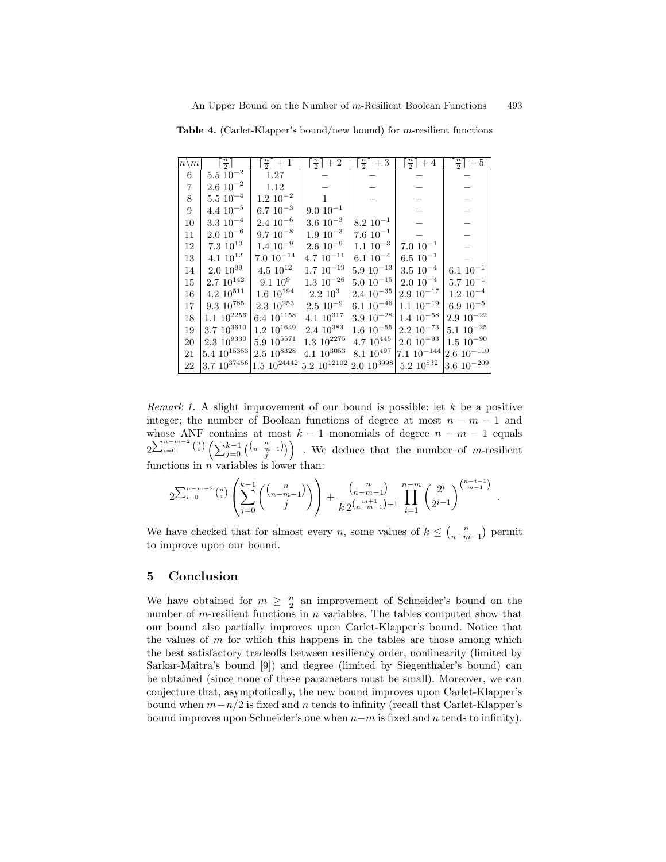$n \backslash m$  $\frac{n}{2}$  $\begin{array}{c|c|c|c|c} \hline \end{array}$  $\frac{n}{2}$  + 1 |  $\frac{n}{2}$  |  $\left| +2 \right|$  |  $\left| \right|$  $\frac{n}{2}$  $+3$  $\frac{n}{2}$  $+4$  $\frac{n}{2}$  $+5$ 6  $5.5 \overline{10}$  $1.27$  | – | – | – | –  $7$   $\,$   $\,$  2.6  $10^{-2}$ 1.12 | − | − | − | − 8  $5.5 10^{-4}$ 1.2 10<sup>−</sup><sup>2</sup> 1 − − − − − 9 | 4.4 10<sup>-5</sup>  $6.7 \ 10^{-3}$  $9.0 \ 10^{-1}$  $10\,$   $\,$  3.3  $10^{-4}$  $2.4\ 10^{-6}$  $3.6\ 10^{-3}$  $8.2 \ 10^{-1}$ 11 2.0 10<sup>−</sup><sup>6</sup>  $\begin{array}{c} 9.7 \ 10^{-8} \\ 1.4 \ 10^{-9} \end{array}$  $1.9 \ 10^{-3}$  $7.6 \, 10^{-1}$  $\begin{array}{c|c|c} 12 & 7.3 & 10^{10} & 1.4 & 10^{-9} \\ \hline 13 & 4.1 & 10^{12} & 7.0 & 10^{-14} \end{array}$  $2.6\ 10^{-9}$  $1.1 \t10^{-3}$ <br>6.1 10<sup>-4</sup>  $7.0 \ 10^{-1}$  $\begin{array}{l|c|c|c|c|c|c|c|c} \hline 13 & 4.1 & 10^{12} & 7.0 & 10^{-14} & 4.7 & 10^{-11} & 6.1 & 10^{-4} \\ \hline 14 & 2.0 & 10^{99} & 4.5 & 10^{12} & 1.7 & 10^{-19} & 5.9 & 10^{-13} \\\hline \end{array}$  $\begin{array}{c} 6.5 \ 10^{-1} \\ 3.5 \ 10^{-4} \end{array}$  $\begin{array}{|c|c|c|c|c|c|}\n 14 & 2.0 & 10^{99} & 4.5 & 10^{12} & 1.7 & 10^{-19} & 5.9 & 10^{-13} & 3.5 & 10^{-4} \\
15 & 2.7 & 10^{142} & 9.1 & 10^{9} & 1.3 & 10^{-26} & 5.0 & 10^{-15} & 2.0 & 10^{-4} \\
\end{array}$  $6.1\ 10^{-1}$  $\begin{array}{c|c|c} 15 & 2.7 & 10^{142} & 9.1 & 10^{9} \\ \hline 16 & 4.2 & 10^{511} & 1.6 & 10^{194} \end{array}$  $\begin{array}{l} 1.3 \,\, 10^{-26} \, \left| \,\begin{matrix} 5.0 \,\, 10^{-15} \,\, \\ 2.4 \,\, 10^{-35} \,\, \end{matrix} \right| 2.0 \,\, 10^{-4} \, \\ 2.9 \,\, 10^{-17} \end{array} \end{array}$  $\begin{array}{c} 5.7 \ 10^{-1} \\ 1.2 \ 10^{-4} \end{array}$  $\begin{array}{l|c|c|c|c|c|c|c|c} \hline 16 & 4.2 & 10^{511} & 1.6 & 10^{194} & 2.2 & 10^3 \\ \hline 17 & 9.3 & 10^{785} & 2.3 & 10^{253} & 2.5 & 10^{-9} \\ \hline \end{array}$  $\begin{array}{c|c|c} 2.4 & 10^{-35} & 2.9 & 10^{-17} & 1.2 & 10^{-4} \\ 6.1 & 10^{-46} & 1.1 & 10^{-19} & 6.9 & 10^{-5} \end{array}$  $\begin{array}{l|c|c|c|c|c} \hline 17 & 9.3 & 10^{785} & 2.3 & 10^{253} & 2.5 & 10^{-9} \\ \hline 18 & 1.1 & 10^{2256} & 6.4 & 10^{1158} & 4.1 & 10^{317} \\ \hline \end{array}$  $\left. \begin{array}{l} 6.1 \,\, 10^{-46} \left| \begin{array}{l} 1.1 \,\, 10^{-19} \end{array} \right| \, 6.9 \,\, 10^{-5} \\ 3.9 \,\, 10^{-28} \left| \begin{array}{l} 1.4 \,\, 10^{-58} \end{array} \right| \, 2.9 \,\, 10^{-22} \end{array} \right.$  $\begin{array}{|c|c|c|c|c|c|c|c|} \hline 1.1 & 10^{2256} & 6.4 & 10^{1158} & 4.1 & 10^{317} & 3.9 & 10^{-28} & 1.4 & 10^{-58} & 2.9 & 10^{-22} \\ \hline 19 & 3.7 & 10^{3610} & 1.2 & 10^{1649} & 2.4 & 10^{383} & 1.6 & 10^{-55} & 2.2 & 10^{-73} & 5.1 & 10^{-25} \\ \hline \end{array}$  $\begin{array}{l} 19 \\ 20 \end{array} \begin{bmatrix} 3.7 \!\!&\, 10^{3610} \\ 2.3 \!\!&\, 10^{9330} \end{bmatrix} \begin{bmatrix} 1.2 \!\!&\, 10^{1649} \\ 5.9 \!\!&\, 10^{5571} \end{bmatrix} \begin{bmatrix} 2.4 \!\!&\, 10^{383} \\ 1.3 \!\!&\, 10^{2275} \end{bmatrix} \begin{bmatrix} 1.6 \!\!&\, 10^{-55} \\ 4.7 \!\!&\, 10^{445} \end{bmatrix} \$  $\begin{array}{l|l|l} 20 & 2.3 & 10^{9330} & 5.9 & 10^{5571} & 1.3 & 10^{2275} & 4.7 & 10^{445} & 2.0 & 10^{-93} & 1.5 & 10^{-90} \\ 21 & 5.4 & 10^{15353} & 2.5 & 10^{8328} & 4.1 & 10^{3053} & 8.1 & 10^{497} & 7.1 & 10^{-144} & 2.6 & 10^{-110} \end{array}$  $\begin{array}{l|l|l} 21 & \left[ 5.4 & 10^{15353} \right] \end{array} \begin{array}{l} 2.5 & 10^{8328} \left[ 4.1 & 10^{3053} \right] \begin{array}{l} 8.1 & 10^{497} \end{array} \begin{array}{l} 7.1 & 10^{-144} \end{array} \begin{array}{l} 2.6 & 10^{-110} \end{array} \\ 2.2 & 3.7 & 10^{37456} \end{array} \begin{array}{l} 1.5 & 10^{24442} \end{array} \begin{array}{l} 5.$  $22\left|3.7\ 10^{37456}\right|1.5\ 10^{24442}\left|5.2\ 10^{12102}\right|2.0\ 10^{3998}\right.$ 

Table 4. (Carlet-Klapper's bound/new bound) for m-resilient functions

*Remark 1.* A slight improvement of our bound is possible: let  $k$  be a positive integer; the number of Boolean functions of degree at most  $n - m - 1$  and whose ANF contains at most  $k-1$  monomials of degree  $n-m-1$  equals  $2^{\sum_{i=0}^{n-m-2} {n \choose i} \left(\sum_{j=0}^{k-1} {n-m-1 \choose j}\right)}$ . We deduce that the number of m-resilient functions in  $n$  variables is lower than:

$$
2^{\sum_{i=0}^{n-m-2} {n \choose i}} \left( \sum_{j=0}^{k-1} \binom{n}{n-m-1} \right) + \frac{\binom{n}{n-m-1}}{k \, 2^{\binom{m+1}{n-m-1}+1}} \prod_{i=1}^{n-m} \binom{2^i}{2^{i-1}}^{\binom{n-i-1}{m-1}}
$$

We have checked that for almost every n, some values of  $k \leq {n \choose n-m-1}$  permit to improve upon our bound.

### 5 Conclusion

We have obtained for  $m \geq \frac{n}{2}$  an improvement of Schneider's bound on the number of m-resilient functions in n variables. The tables computed show that our bound also partially improves upon Carlet-Klapper's bound. Notice that the values of  $m$  for which this happens in the tables are those among which the best satisfactory tradeoffs between resiliency order, nonlinearity (limited by Sarkar-Maitra's bound [9]) and degree (limited by Siegenthaler's bound) can be obtained (since none of these parameters must be small). Moreover, we can conjecture that, asymptotically, the new bound improves upon Carlet-Klapper's bound when  $m-n/2$  is fixed and n tends to infinity (recall that Carlet-Klapper's bound improves upon Schneider's one when  $n-m$  is fixed and n tends to infinity).

.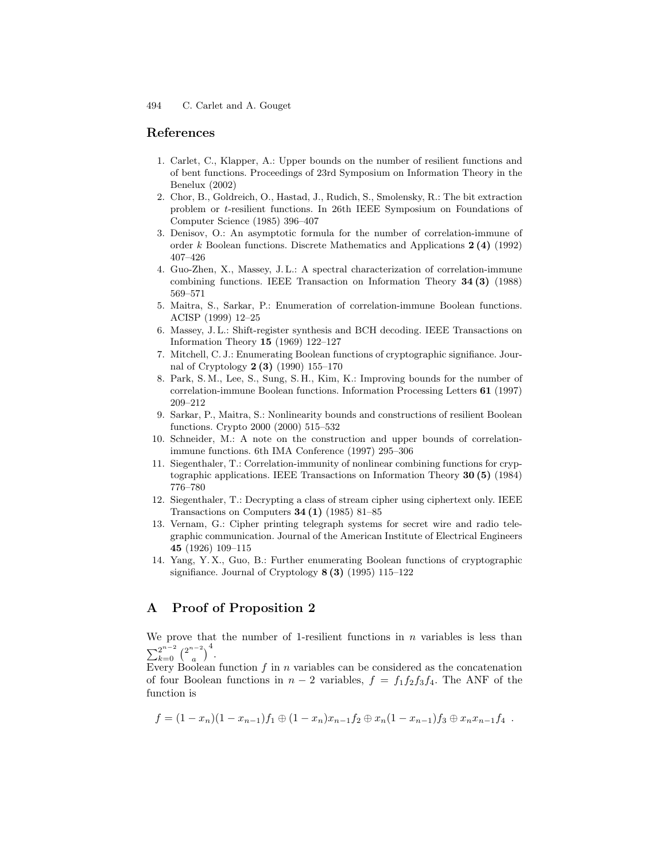### References

- 1. Carlet, C., Klapper, A.: Upper bounds on the number of resilient functions and of bent functions. Proceedings of 23rd Symposium on Information Theory in the Benelux (2002)
- 2. Chor, B., Goldreich, O., Hastad, J., Rudich, S., Smolensky, R.: The bit extraction problem or t-resilient functions. In 26th IEEE Symposium on Foundations of Computer Science (1985) 396–407
- 3. Denisov, O.: An asymptotic formula for the number of correlation-immune of order k Boolean functions. Discrete Mathematics and Applications 2 (4) (1992) 407–426
- 4. Guo-Zhen, X., Massey, J. L.: A spectral characterization of correlation-immune combining functions. IEEE Transaction on Information Theory 34 (3) (1988) 569–571
- 5. Maitra, S., Sarkar, P.: Enumeration of correlation-immune Boolean functions. ACISP (1999) 12–25
- 6. Massey, J. L.: Shift-register synthesis and BCH decoding. IEEE Transactions on Information Theory 15 (1969) 122–127
- 7. Mitchell, C. J.: Enumerating Boolean functions of cryptographic signifiance. Journal of Cryptology 2 (3) (1990) 155–170
- 8. Park, S. M., Lee, S., Sung, S. H., Kim, K.: Improving bounds for the number of correlation-immune Boolean functions. Information Processing Letters 61 (1997) 209–212
- 9. Sarkar, P., Maitra, S.: Nonlinearity bounds and constructions of resilient Boolean functions. Crypto 2000 (2000) 515–532
- 10. Schneider, M.: A note on the construction and upper bounds of correlationimmune functions. 6th IMA Conference (1997) 295–306
- 11. Siegenthaler, T.: Correlation-immunity of nonlinear combining functions for cryptographic applications. IEEE Transactions on Information Theory 30 (5) (1984) 776–780
- 12. Siegenthaler, T.: Decrypting a class of stream cipher using ciphertext only. IEEE Transactions on Computers  $34(1)$  (1985) 81–85
- 13. Vernam, G.: Cipher printing telegraph systems for secret wire and radio telegraphic communication. Journal of the American Institute of Electrical Engineers 45 (1926) 109–115
- 14. Yang, Y. X., Guo, B.: Further enumerating Boolean functions of cryptographic signifiance. Journal of Cryptology  $8(3)(1995)$  115–122

### A Proof of Proposition 2

We prove that the number of 1-resilient functions in  $n$  variables is less than  $\sum_{k=0}^{2^{n-2}} {2^{n-2} \choose a}$  $\binom{a-2}{a}$ <sup>4</sup>.

Every Boolean function  $f$  in  $n$  variables can be considered as the concatenation of four Boolean functions in  $n-2$  variables,  $f = f_1 f_2 f_3 f_4$ . The ANF of the function is

$$
f = (1 - x_n)(1 - x_{n-1})f_1 \oplus (1 - x_n)x_{n-1}f_2 \oplus x_n(1 - x_{n-1})f_3 \oplus x_nx_{n-1}f_4.
$$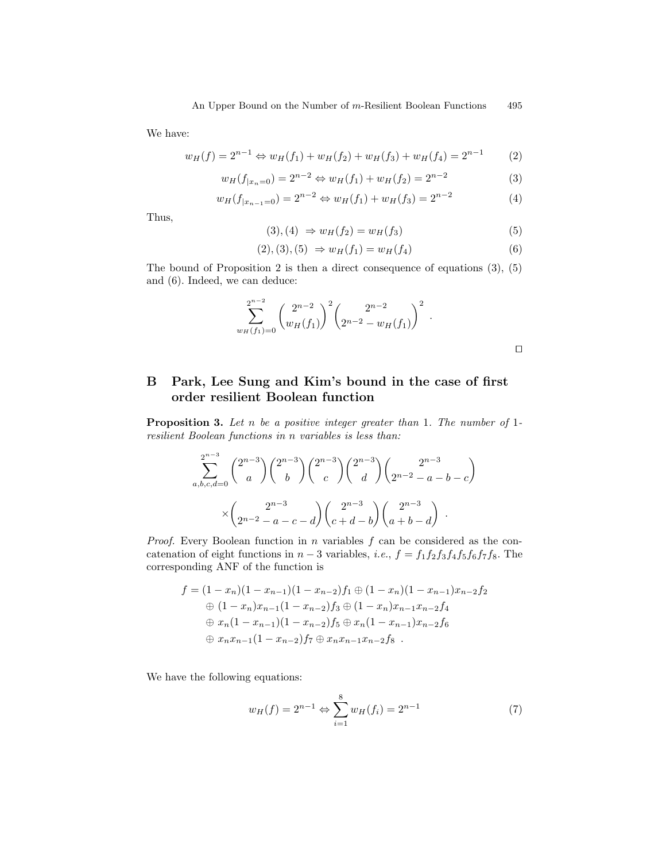We have:

$$
w_H(f) = 2^{n-1} \Leftrightarrow w_H(f_1) + w_H(f_2) + w_H(f_3) + w_H(f_4) = 2^{n-1} \tag{2}
$$

$$
w_H(f_{|x_n=0}) = 2^{n-2} \Leftrightarrow w_H(f_1) + w_H(f_2) = 2^{n-2}
$$
\n(3)

$$
w_H(f_{|x_{n-1}=0}) = 2^{n-2} \Leftrightarrow w_H(f_1) + w_H(f_3) = 2^{n-2}
$$
\n(4)

Thus,

$$
(3), (4) \Rightarrow w_H(f_2) = w_H(f_3) \tag{5}
$$

$$
(2), (3), (5) \Rightarrow w_H(f_1) = w_H(f_4) \tag{6}
$$

The bound of Proposition 2 is then a direct consequence of equations (3), (5) and (6). Indeed, we can deduce:

$$
\sum_{w_H(f_1)=0}^{2^{n-2}} \binom{2^{n-2}}{w_H(f_1)}^2 \binom{2^{n-2}}{2^{n-2}-w_H(f_1)}^2.
$$

## B Park, Lee Sung and Kim's bound in the case of first order resilient Boolean function

Proposition 3. Let n be a positive integer greater than 1. The number of 1resilient Boolean functions in n variables is less than:

$$
\sum_{a,b,c,d=0}^{2^{n-3}} \binom{2^{n-3}}{a} \binom{2^{n-3}}{b} \binom{2^{n-3}}{c} \binom{2^{n-3}}{d} \binom{2^{n-3}}{2^{n-2}-a-b-c} \times \binom{2^{n-3}}{2^{n-2}-a-c-d} \binom{2^{n-3}}{c+d-b} \binom{2^{n-3}}{a+b-d}.
$$

*Proof.* Every Boolean function in  $n$  variables  $f$  can be considered as the concatenation of eight functions in  $n-3$  variables, *i.e.*,  $f = f_1 f_2 f_3 f_4 f_5 f_6 f_7 f_8$ . The corresponding ANF of the function is

$$
f = (1 - x_n)(1 - x_{n-1})(1 - x_{n-2})f_1 \oplus (1 - x_n)(1 - x_{n-1})x_{n-2}f_2
$$
  
\n
$$
\oplus (1 - x_n)x_{n-1}(1 - x_{n-2})f_3 \oplus (1 - x_n)x_{n-1}x_{n-2}f_4
$$
  
\n
$$
\oplus x_n(1 - x_{n-1})(1 - x_{n-2})f_5 \oplus x_n(1 - x_{n-1})x_{n-2}f_6
$$
  
\n
$$
\oplus x_nx_{n-1}(1 - x_{n-2})f_7 \oplus x_nx_{n-1}x_{n-2}f_8.
$$

We have the following equations:

$$
w_H(f) = 2^{n-1} \Leftrightarrow \sum_{i=1}^{8} w_H(f_i) = 2^{n-1}
$$
 (7)